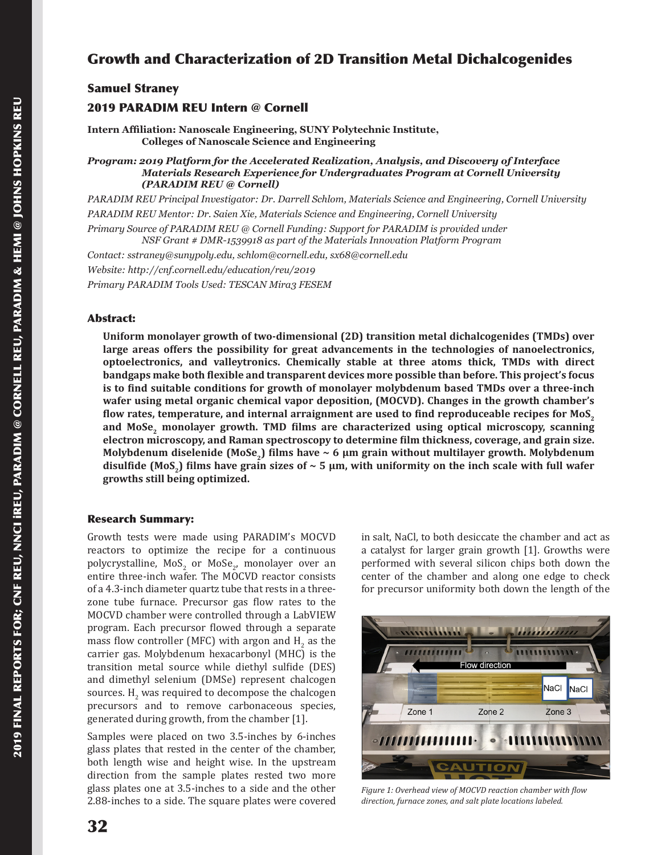# Growth and Characterization of 2D Transition Metal Dichalcogenides

## Samuel Straney

## 2019 PARADIM REU Intern @ Cornell

**Intern Affiliation: Nanoscale Engineering, SUNY Polytechnic Institute, Colleges of Nanoscale Science and Engineering**

*Program: 2019 Platform for the Accelerated Realization, Analysis, and Discovery of Interface Materials Research Experience for Undergraduates Program at Cornell University (PARADIM REU @ Cornell)*

*PARADIM REU Principal Investigator: Dr. Darrell Schlom, Materials Science and Engineering, Cornell University PARADIM REU Mentor: Dr. Saien Xie, Materials Science and Engineering, Cornell University*

*Primary Source of PARADIM REU @ Cornell Funding: Support for PARADIM is provided under* 

*NSF Grant # DMR-1539918 as part of the Materials Innovation Platform Program*

*Contact: sstraney@sunypoly.edu, schlom@cornell.edu, sx68@cornell.edu*

*Website: http://cnf.cornell.edu/education/reu/2019*

*Primary PARADIM Tools Used: TESCAN Mira3 FESEM*

#### Abstract:

**Uniform monolayer growth of two-dimensional (2D) transition metal dichalcogenides (TMDs) over large areas offers the possibility for great advancements in the technologies of nanoelectronics, optoelectronics, and valleytronics. Chemically stable at three atoms thick, TMDs with direct bandgaps make both flexible and transparent devices more possible than before. This project's focus is to find suitable conditions for growth of monolayer molybdenum based TMDs over a three-inch wafer using metal organic chemical vapor deposition, (MOCVD). Changes in the growth chamber's flow rates, temperature, and internal arraignment are used to find reproduceable recipes for MoS<sup>2</sup>** and MoSe, monolayer growth. TMD films are characterized using optical microscopy, scanning **electron microscopy, and Raman spectroscopy to determine film thickness, coverage, and grain size. Molybdenum diselenide (MoSe2) films have ~ 6 µm grain without multilayer growth. Molybdenum**  disulfide (MoS<sub>2</sub>) films have grain sizes of  $\sim$  5  $\mu$ m, with uniformity on the inch scale with full wafer **growths still being optimized.**

#### Research Summary:

Growth tests were made using PARADIM's MOCVD reactors to optimize the recipe for a continuous polycrystalline,  $MOS_2$  or  $Mose_2$ , monolayer over an entire three-inch wafer. The MOCVD reactor consists of a 4.3-inch diameter quartz tube that rests in a threezone tube furnace. Precursor gas flow rates to the MOCVD chamber were controlled through a LabVIEW program. Each precursor flowed through a separate mass flow controller (MFC) with argon and  $H_2$  as the carrier gas. Molybdenum hexacarbonyl (MHC) is the transition metal source while diethyl sulfide (DES) and dimethyl selenium (DMSe) represent chalcogen sources.  $H_2$  was required to decompose the chalcogen precursors and to remove carbonaceous species, generated during growth, from the chamber [1].

Samples were placed on two 3.5-inches by 6-inches glass plates that rested in the center of the chamber, both length wise and height wise. In the upstream direction from the sample plates rested two more glass plates one at 3.5-inches to a side and the other 2.88-inches to a side. The square plates were covered in salt, NaCl, to both desiccate the chamber and act as a catalyst for larger grain growth [1]. Growths were performed with several silicon chips both down the center of the chamber and along one edge to check for precursor uniformity both down the length of the



*Figure 1: Overhead view of MOCVD reaction chamber with flow direction, furnace zones, and salt plate locations labeled.*